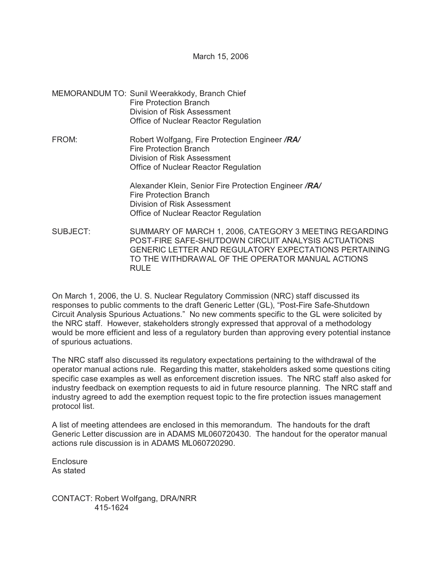March 15, 2006

- MEMORANDUM TO: Sunil Weerakkody, Branch Chief Fire Protection Branch Division of Risk Assessment Office of Nuclear Reactor Regulation
- FROM: Robert Wolfgang, Fire Protection Engineer */RA/* Fire Protection Branch Division of Risk Assessment Office of Nuclear Reactor Regulation

Alexander Klein, Senior Fire Protection Engineer */RA/* Fire Protection Branch Division of Risk Assessment Office of Nuclear Reactor Regulation

SUBJECT: SUMMARY OF MARCH 1, 2006, CATEGORY 3 MEETING REGARDING POST-FIRE SAFE-SHUTDOWN CIRCUIT ANALYSIS ACTUATIONS GENERIC LETTER AND REGULATORY EXPECTATIONS PERTAINING TO THE WITHDRAWAL OF THE OPERATOR MANUAL ACTIONS RULE<sub></sub>

On March 1, 2006, the U. S. Nuclear Regulatory Commission (NRC) staff discussed its responses to public comments to the draft Generic Letter (GL), "Post-Fire Safe-Shutdown Circuit Analysis Spurious Actuations." No new comments specific to the GL were solicited by the NRC staff. However, stakeholders strongly expressed that approval of a methodology would be more efficient and less of a regulatory burden than approving every potential instance of spurious actuations.

The NRC staff also discussed its regulatory expectations pertaining to the withdrawal of the operator manual actions rule. Regarding this matter, stakeholders asked some questions citing specific case examples as well as enforcement discretion issues. The NRC staff also asked for industry feedback on exemption requests to aid in future resource planning. The NRC staff and industry agreed to add the exemption request topic to the fire protection issues management protocol list.

A list of meeting attendees are enclosed in this memorandum. The handouts for the draft Generic Letter discussion are in ADAMS ML060720430. The handout for the operator manual actions rule discussion is in ADAMS ML060720290.

**Enclosure** As stated

CONTACT: Robert Wolfgang, DRA/NRR 415-1624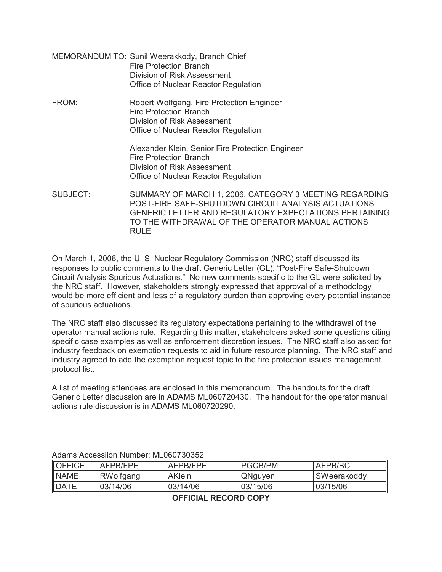- MEMORANDUM TO: Sunil Weerakkody, Branch Chief Fire Protection Branch Division of Risk Assessment Office of Nuclear Reactor Regulation
- FROM: Robert Wolfgang, Fire Protection Engineer Fire Protection Branch Division of Risk Assessment Office of Nuclear Reactor Regulation

Alexander Klein, Senior Fire Protection Engineer Fire Protection Branch Division of Risk Assessment Office of Nuclear Reactor Regulation

SUBJECT: SUMMARY OF MARCH 1, 2006, CATEGORY 3 MEETING REGARDING POST-FIRE SAFE-SHUTDOWN CIRCUIT ANALYSIS ACTUATIONS GENERIC LETTER AND REGULATORY EXPECTATIONS PERTAINING TO THE WITHDRAWAL OF THE OPERATOR MANUAL ACTIONS RULE

On March 1, 2006, the U. S. Nuclear Regulatory Commission (NRC) staff discussed its responses to public comments to the draft Generic Letter (GL), "Post-Fire Safe-Shutdown Circuit Analysis Spurious Actuations." No new comments specific to the GL were solicited by the NRC staff. However, stakeholders strongly expressed that approval of a methodology would be more efficient and less of a regulatory burden than approving every potential instance of spurious actuations.

The NRC staff also discussed its regulatory expectations pertaining to the withdrawal of the operator manual actions rule. Regarding this matter, stakeholders asked some questions citing specific case examples as well as enforcement discretion issues. The NRC staff also asked for industry feedback on exemption requests to aid in future resource planning. The NRC staff and industry agreed to add the exemption request topic to the fire protection issues management protocol list.

A list of meeting attendees are enclosed in this memorandum. The handouts for the draft Generic Letter discussion are in ADAMS ML060720430. The handout for the operator manual actions rule discussion is in ADAMS ML060720290.

| OFFICE      | AFPR/FPF  | AFPR/FPF      | IPGCB/PM | AFPB/BC     |
|-------------|-----------|---------------|----------|-------------|
| <b>NAME</b> | RWolfgang | <b>AKlein</b> | QNguyen  | SWeerakoddy |
| DATE        | 03/14/06  | 03/14/06      | 03/15/06 | 03/15/06    |

Adams Accessiion Number: ML060730352

**OFFICIAL RECORD COPY**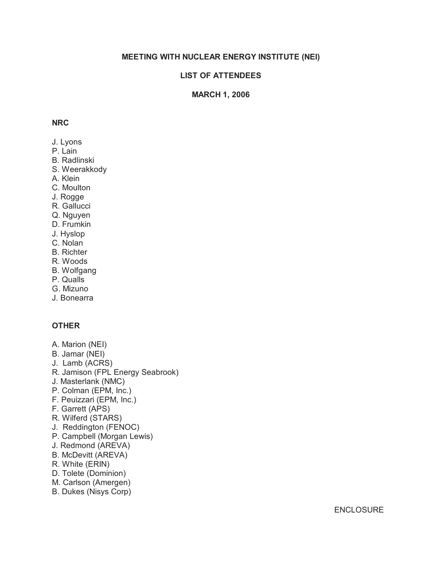# **MEETING WITH NUCLEAR ENERGY INSTITUTE (NEI)**

# **LIST OF ATTENDEES**

## **MARCH 1, 2006**

### **NRC**

- J. Lyons
- P. Lain
- B. Radlinski
- S. Weerakkody
- A. Klein
- C. Moulton
- J. Rogge
- R. Gallucci
- Q. Nguyen
- D. Frumkin
- J. Hyslop
- C. Nolan
- B. Richter
- R. Woods
- B. Wolfgang
- P. Qualls
- G. Mizuno
- J. Bonearra

### **OTHER**

- A. Marion (NEI)
- B. Jamar (NEI)
- J. Lamb (ACRS)
- R. Jamison (FPL Energy Seabrook)
- J. Masterlank (NMC)
- P. Colman (EPM, Inc.)
- F. Peuizzari (EPM, Inc.)
- F. Garrett (APS)
- R. Wilferd (STARS)
- J. Reddington (FENOC)
- P. Campbell (Morgan Lewis)
- J. Redmond (AREVA)
- B. McDevitt (AREVA)
- R. White (ERIN)
- D. Tolete (Dominion)
- M. Carlson (Amergen)
- B. Dukes (Nisys Corp)